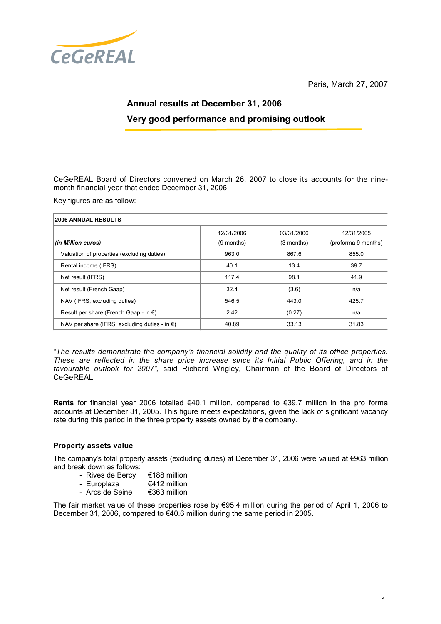

Paris, March 27, 2007

# Annual results at December 31, 2006 Very good performance and promising outlook

CeGeREAL Board of Directors convened on March 26, 2007 to close its accounts for the ninemonth financial year that ended December 31, 2006.

Key figures are as follow:

| <b>2006 ANNUAL RESULTS</b>                              |            |            |                     |
|---------------------------------------------------------|------------|------------|---------------------|
|                                                         | 12/31/2006 | 03/31/2006 | 12/31/2005          |
| (in Million euros)                                      | (9 months) | (3 months) | (proforma 9 months) |
| Valuation of properties (excluding duties)              | 963.0      | 867.6      | 855.0               |
| Rental income (IFRS)                                    | 40.1       | 13.4       | 39.7                |
| Net result (IFRS)                                       | 117.4      | 98.1       | 41.9                |
| Net result (French Gaap)                                | 32.4       | (3.6)      | n/a                 |
| NAV (IFRS, excluding duties)                            | 546.5      | 443.0      | 425.7               |
| Result per share (French Gaap - in $\epsilon$ )         | 2.42       | (0.27)     | n/a                 |
| NAV per share (IFRS, excluding duties - in $\epsilon$ ) | 40.89      | 33.13      | 31.83               |

"The results demonstrate the company's financial solidity and the quality of its office properties. These are reflected in the share price increase since its Initial Public Offering, and in the favourable outlook for 2007", said Richard Wrigley, Chairman of the Board of Directors of CeGeREAL

Rents for financial year 2006 totalled €40.1 million, compared to €39.7 million in the pro forma accounts at December 31, 2005. This figure meets expectations, given the lack of significant vacancy rate during this period in the three property assets owned by the company.

## Property assets value

The company's total property assets (excluding duties) at December 31, 2006 were valued at €963 million and break down as follows:

- Rives de Bercy €188 million<br>- Europlaza €412 million
- Europlaza  $\epsilon$  €412 million<br>- Arcs de Seine €363 million
- Arcs de Seine

The fair market value of these properties rose by €95.4 million during the period of April 1, 2006 to December 31, 2006, compared to €40.6 million during the same period in 2005.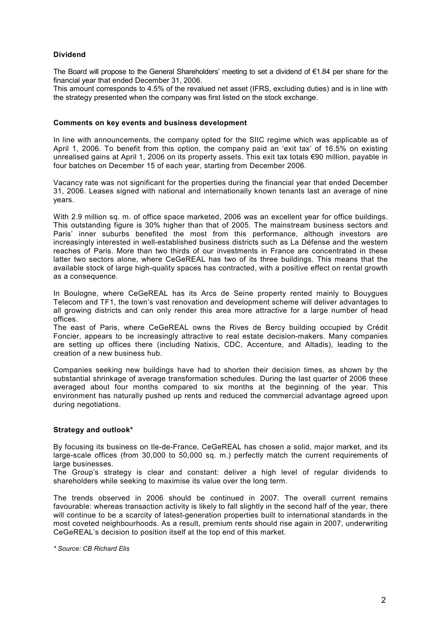# Dividend

The Board will propose to the General Shareholders' meeting to set a dividend of €1.84 per share for the financial year that ended December 31, 2006.

This amount corresponds to 4.5% of the revalued net asset (IFRS, excluding duties) and is in line with the strategy presented when the company was first listed on the stock exchange.

#### Comments on key events and business development

In line with announcements, the company opted for the SIIC regime which was applicable as of April 1, 2006. To benefit from this option, the company paid an 'exit tax' of 16.5% on existing unrealised gains at April 1, 2006 on its property assets. This exit tax totals €90 million, payable in four batches on December 15 of each year, starting from December 2006.

Vacancy rate was not significant for the properties during the financial year that ended December 31, 2006. Leases signed with national and internationally known tenants last an average of nine years.

With 2.9 million sq. m. of office space marketed, 2006 was an excellent year for office buildings. This outstanding figure is 30% higher than that of 2005. The mainstream business sectors and Paris' inner suburbs benefited the most from this performance, although investors are increasingly interested in well-established business districts such as La Défense and the western reaches of Paris. More than two thirds of our investments in France are concentrated in these latter two sectors alone, where CeGeREAL has two of its three buildings. This means that the available stock of large high-quality spaces has contracted, with a positive effect on rental growth as a consequence.

In Boulogne, where CeGeREAL has its Arcs de Seine property rented mainly to Bouygues Telecom and TF1, the town's vast renovation and development scheme will deliver advantages to all growing districts and can only render this area more attractive for a large number of head offices.

The east of Paris, where CeGeREAL owns the Rives de Bercy building occupied by Crédit Foncier, appears to be increasingly attractive to real estate decision-makers. Many companies are setting up offices there (including Natixis, CDC, Accenture, and Altadis), leading to the creation of a new business hub.

Companies seeking new buildings have had to shorten their decision times, as shown by the substantial shrinkage of average transformation schedules. During the last quarter of 2006 these averaged about four months compared to six months at the beginning of the year. This environment has naturally pushed up rents and reduced the commercial advantage agreed upon during negotiations.

## Strategy and outlook\*

By focusing its business on Ile-de-France, CeGeREAL has chosen a solid, major market, and its large-scale offices (from 30,000 to 50,000 sq. m.) perfectly match the current requirements of large businesses.

The Group's strategy is clear and constant: deliver a high level of regular dividends to shareholders while seeking to maximise its value over the long term.

The trends observed in 2006 should be continued in 2007. The overall current remains favourable: whereas transaction activity is likely to fall slightly in the second half of the year, there will continue to be a scarcity of latest-generation properties built to international standards in the most coveted neighbourhoods. As a result, premium rents should rise again in 2007, underwriting CeGeREAL's decision to position itself at the top end of this market.

\* Source: CB Richard Elis